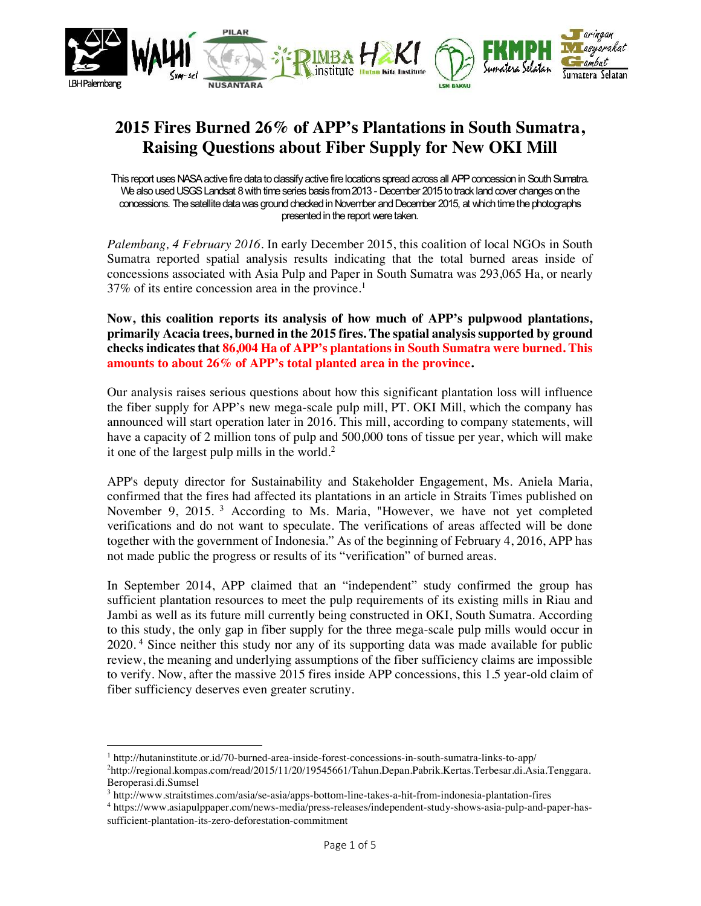

## **2015 Fires Burned 26% of APP's Plantations in South Sumatra, Raising Questions about Fiber Supply for New OKI Mill**

This report uses NASA active fire data to dassify active fire locations spread across all APP concession in South Sumatra. We also used USGS Landsat 8 with time series basis from2013 - December 2015to track land cover changes on the concessions. The satellite data was ground checked in November and December 2015, at which time the photographs presented in the report were taken.

*Palembang, 4 February 2016*. In early December 2015, this coalition of local NGOs in South Sumatra reported spatial analysis results indicating that the total burned areas inside of concessions associated with Asia Pulp and Paper in South Sumatra was 293,065 Ha, or nearly 37% of its entire concession area in the province. 1

**Now, this coalition reports its analysis of how much of APP's pulpwood plantations, primarily Acacia trees, burned in the 2015 fires. The spatial analysis supported by ground checks indicates that 86,004 Ha of APP's plantations in South Sumatra were burned. This amounts to about 26% of APP's total planted area in the province.**

Our analysis raises serious questions about how this significant plantation loss will influence the fiber supply for APP's new mega-scale pulp mill, PT. OKI Mill, which the company has announced will start operation later in 2016. This mill, according to company statements, will have a capacity of 2 million tons of pulp and 500,000 tons of tissue per year, which will make it one of the largest pulp mills in the world. $2$ 

APP's deputy director for Sustainability and Stakeholder Engagement, Ms. Aniela Maria, confirmed that the fires had affected its plantations in an article in Straits Times published on November 9, 2015.<sup>3</sup> According to Ms. Maria, "However, we have not yet completed verifications and do not want to speculate. The verifications of areas affected will be done together with the government of Indonesia." As of the beginning of February 4, 2016, APP has not made public the progress or results of its "verification" of burned areas.

In September 2014, APP claimed that an "independent" study confirmed the group has sufficient plantation resources to meet the pulp requirements of its existing mills in Riau and Jambi as well as its future mill currently being constructed in OKI, South Sumatra. According to this study, the only gap in fiber supply for the three mega-scale pulp mills would occur in 2020. <sup>4</sup> Since neither this study nor any of its supporting data was made available for public review, the meaning and underlying assumptions of the fiber sufficiency claims are impossible to verify. Now, after the massive 2015 fires inside APP concessions, this 1.5 year-old claim of fiber sufficiency deserves even greater scrutiny.

<sup>1</sup> http://hutaninstitute.or.id/70-burned-area-inside-forest-concessions-in-south-sumatra-links-to-app/

<sup>2</sup> http://regional.kompas.com/read/2015/11/20/19545661/Tahun.Depan.Pabrik.Kertas.Terbesar.di.Asia.Tenggara. Beroperasi.di.Sumsel

<sup>3</sup> http://www.straitstimes.com/asia/se-asia/apps-bottom-line-takes-a-hit-from-indonesia-plantation-fires

<sup>4</sup> https://www.asiapulppaper.com/news-media/press-releases/independent-study-shows-asia-pulp-and-paper-hassufficient-plantation-its-zero-deforestation-commitment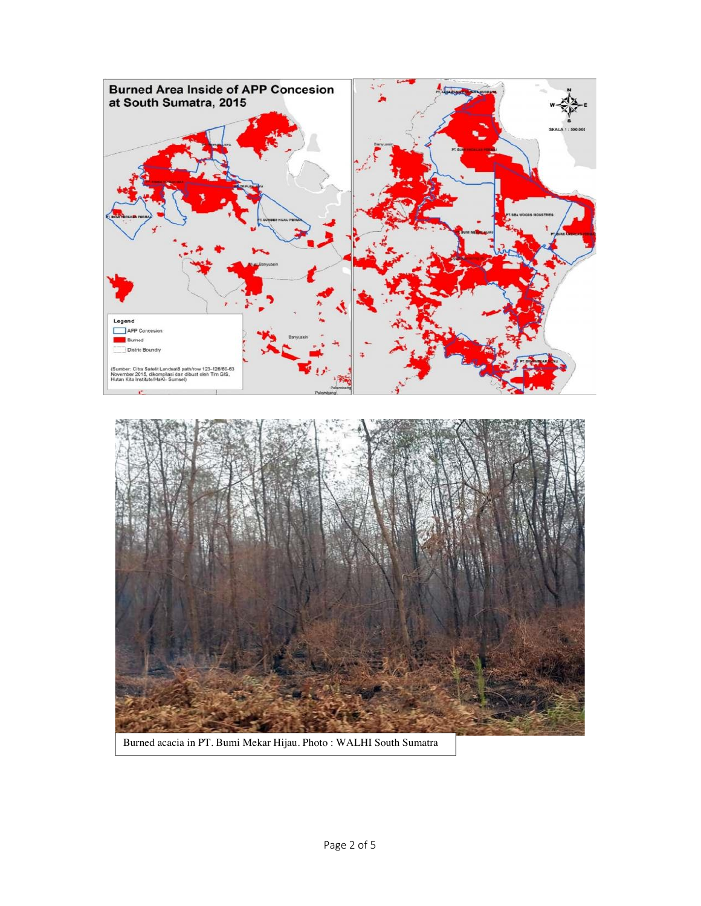

Burned acacia in PT. Bumi Mekar Hijau. Photo : WALHI South Sumatra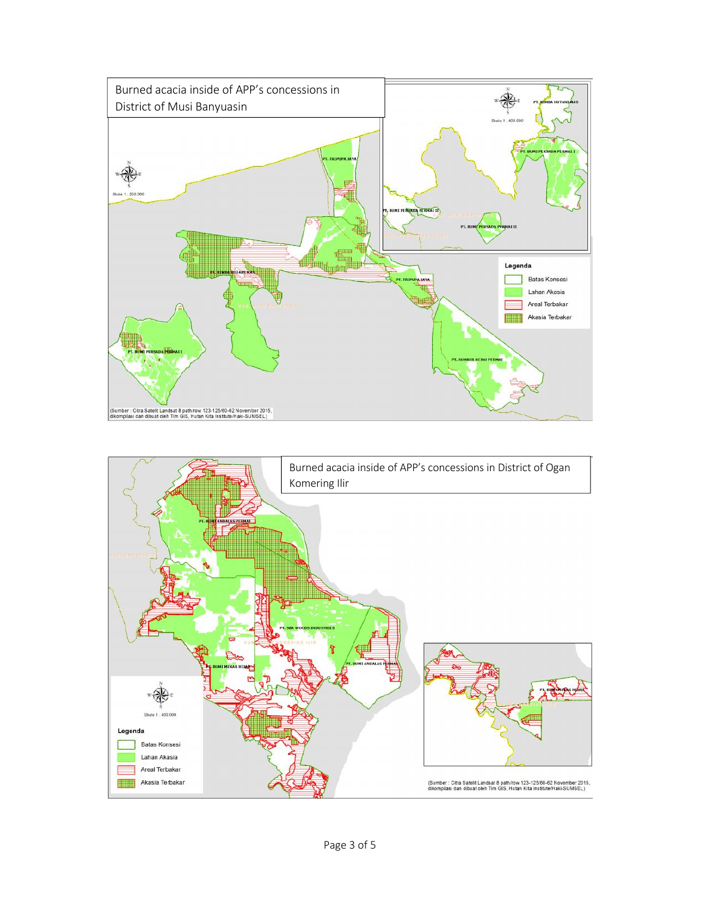

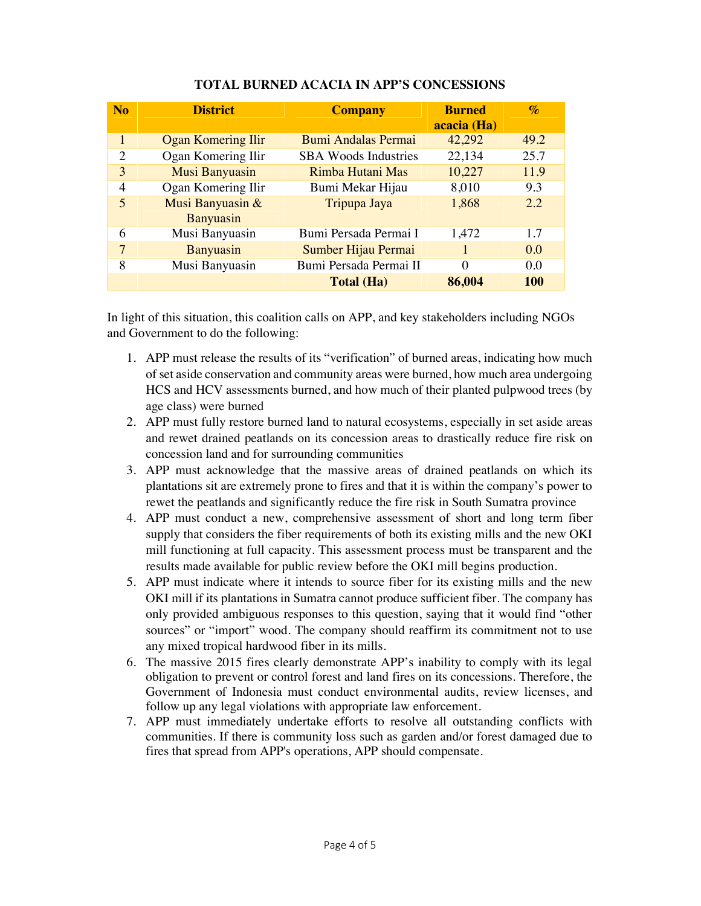| N <sub>o</sub> | <b>District</b>           | <b>Company</b>              | <b>Burned</b><br>acacia (Ha) | $\mathcal{O}'$ |
|----------------|---------------------------|-----------------------------|------------------------------|----------------|
| 1              | <b>Ogan Komering Ilir</b> | Bumi Andalas Permai         | 42,292                       | 49.2           |
| $\overline{c}$ | Ogan Komering Ilir        | <b>SBA Woods Industries</b> | 22,134                       | 25.7           |
| 3              | Musi Banyuasin            | Rimba Hutani Mas            | 10,227                       | 11.9           |
| 4              | Ogan Komering Ilir        | Bumi Mekar Hijau            | 8,010                        | 9.3            |
| 5              | Musi Banyuasin &          | Tripupa Jaya                | 1,868                        | 2.2            |
|                | Banyuasin                 |                             |                              |                |
| 6              | Musi Banyuasin            | Bumi Persada Permai I       | 1,472                        | 1.7            |
| 7              | <b>Banyuasin</b>          | Sumber Hijau Permai         |                              | 0.0            |
| 8              | Musi Banyuasin            | Bumi Persada Permai II      | 0                            | 0.0            |
|                |                           | <b>Total (Ha)</b>           | 86,004                       | <b>100</b>     |

## **TOTAL BURNED ACACIA IN APP'S CONCESSIONS**

In light of this situation, this coalition calls on APP, and key stakeholders including NGOs and Government to do the following:

- 1. APP must release the results of its "verification" of burned areas, indicating how much of set aside conservation and community areas were burned, how much area undergoing HCS and HCV assessments burned, and how much of their planted pulpwood trees (by age class) were burned
- 2. APP must fully restore burned land to natural ecosystems, especially in set aside areas and rewet drained peatlands on its concession areas to drastically reduce fire risk on concession land and for surrounding communities
- 3. APP must acknowledge that the massive areas of drained peatlands on which its plantations sit are extremely prone to fires and that it is within the company's power to rewet the peatlands and significantly reduce the fire risk in South Sumatra province
- 4. APP must conduct a new, comprehensive assessment of short and long term fiber supply that considers the fiber requirements of both its existing mills and the new OKI mill functioning at full capacity. This assessment process must be transparent and the results made available for public review before the OKI mill begins production.
- 5. APP must indicate where it intends to source fiber for its existing mills and the new OKI mill if its plantations in Sumatra cannot produce sufficient fiber. The company has only provided ambiguous responses to this question, saying that it would find "other sources" or "import" wood. The company should reaffirm its commitment not to use any mixed tropical hardwood fiber in its mills.
- 6. The massive 2015 fires clearly demonstrate APP's inability to comply with its legal obligation to prevent or control forest and land fires on its concessions. Therefore, the Government of Indonesia must conduct environmental audits, review licenses, and follow up any legal violations with appropriate law enforcement.
- 7. APP must immediately undertake efforts to resolve all outstanding conflicts with communities. If there is community loss such as garden and/or forest damaged due to fires that spread from APP's operations, APP should compensate.